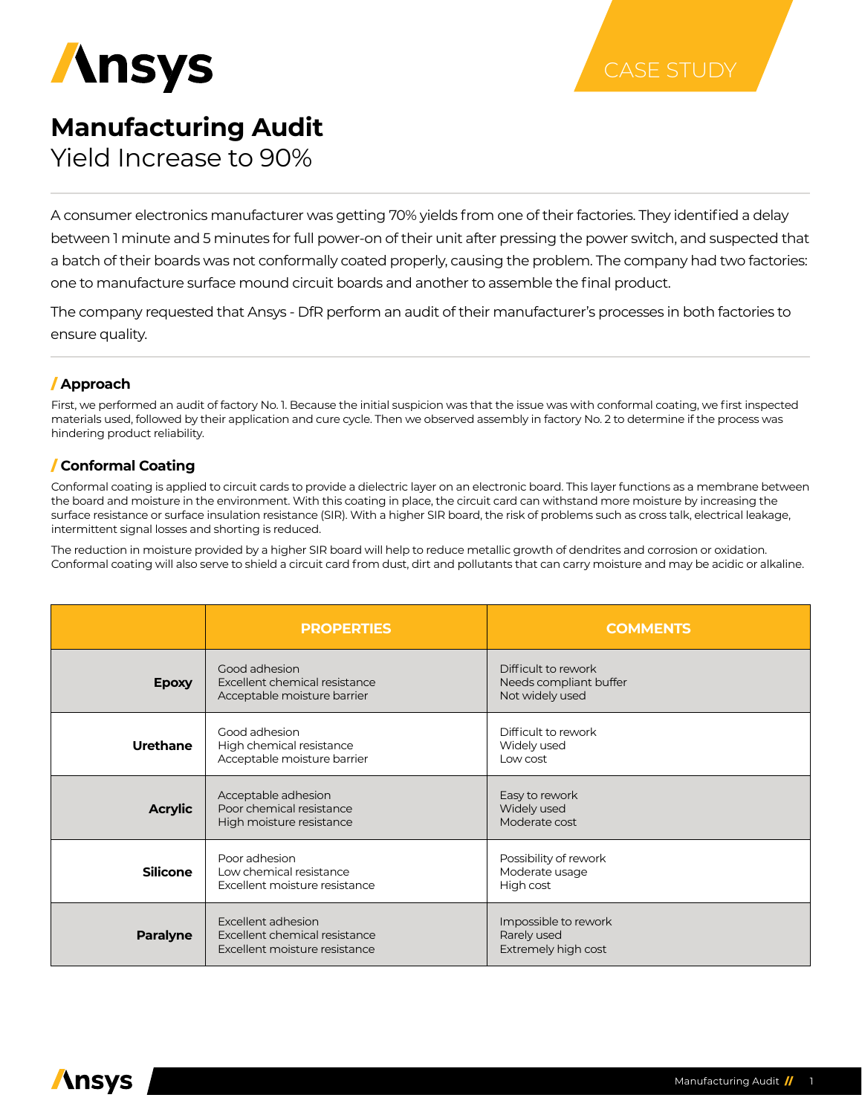

# **Manufacturing Audit**

Yield Increase to 90%

A consumer electronics manufacturer was getting 70% yields from one of their factories. They identified a delay between 1 minute and 5 minutes for full power-on of their unit after pressing the power switch, and suspected that a batch of their boards was not conformally coated properly, causing the problem. The company had two factories: one to manufacture surface mound circuit boards and another to assemble the final product.

The company requested that Ansys - DfR perform an audit of their manufacturer's processes in both factories to ensure quality.

# / **Approach**

First, we performed an audit of factory No. 1. Because the initial suspicion was that the issue was with conformal coating, we first inspected materials used, followed by their application and cure cycle. Then we observed assembly in factory No. 2 to determine if the process was hindering product reliability.

# / **Conformal Coating**

Conformal coating is applied to circuit cards to provide a dielectric layer on an electronic board. This layer functions as a membrane between the board and moisture in the environment. With this coating in place, the circuit card can withstand more moisture by increasing the surface resistance or surface insulation resistance (SIR). With a higher SIR board, the risk of problems such as cross talk, electrical leakage, intermittent signal losses and shorting is reduced.

The reduction in moisture provided by a higher SIR board will help to reduce metallic growth of dendrites and corrosion or oxidation. Conformal coating will also serve to shield a circuit card from dust, dirt and pollutants that can carry moisture and may be acidic or alkaline.

|                 | <b>PROPERTIES</b>                                                                    | <b>COMMENTS</b>                                                  |
|-----------------|--------------------------------------------------------------------------------------|------------------------------------------------------------------|
| <b>Epoxy</b>    | Good adhesion<br>Excellent chemical resistance<br>Acceptable moisture barrier        | Difficult to rework<br>Needs compliant buffer<br>Not widely used |
| <b>Urethane</b> | Good adhesion<br>High chemical resistance<br>Acceptable moisture barrier             | Difficult to rework<br>Widely used<br>Low cost                   |
| <b>Acrylic</b>  | Acceptable adhesion<br>Poor chemical resistance<br>High moisture resistance          | Easy to rework<br>Widely used<br>Moderate cost                   |
| <b>Silicone</b> | Poor adhesion<br>Low chemical resistance<br>Excellent moisture resistance            | Possibility of rework<br>Moderate usage<br>High cost             |
| <b>Paralyne</b> | Excellent adhesion<br>Excellent chemical resistance<br>Excellent moisture resistance | Impossible to rework<br>Rarely used<br>Extremely high cost       |